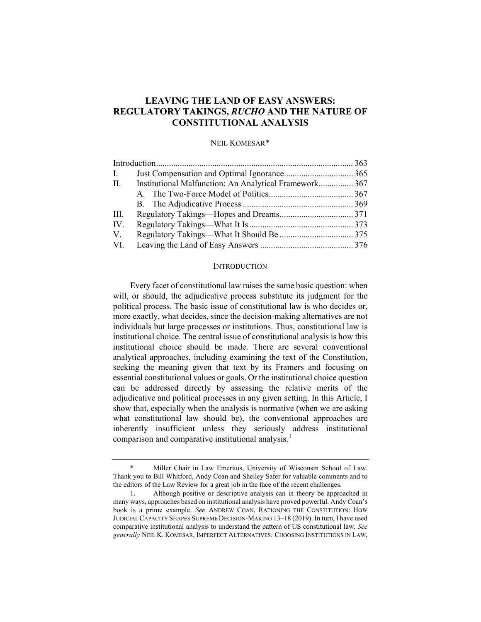# **LEAVING THE LAND OF EASY ANSWERS: REGULATORY TAKINGS,** *RUCHO* **AND THE NATURE OF CONSTITUTIONAL ANALYSIS**

### NEIL KOMESAR[\\*](#page-0-0)

| $\mathbf{I}$ . |                                                        |  |
|----------------|--------------------------------------------------------|--|
| II.            | Institutional Malfunction: An Analytical Framework 367 |  |
|                |                                                        |  |
|                |                                                        |  |
| III.           |                                                        |  |
| IV.            |                                                        |  |
| V.             |                                                        |  |
| VI.            |                                                        |  |

#### **INTRODUCTION**

Every facet of constitutional law raises the same basic question: when will, or should, the adjudicative process substitute its judgment for the political process. The basic issue of constitutional law is who decides or, more exactly, what decides, since the decision-making alternatives are not individuals but large processes or institutions. Thus, constitutional law is institutional choice. The central issue of constitutional analysis is how this institutional choice should be made. There are several conventional analytical approaches, including examining the text of the Constitution, seeking the meaning given that text by its Framers and focusing on essential constitutional values or goals. Or the institutional choice question can be addressed directly by assessing the relative merits of the adjudicative and political processes in any given setting. In this Article, I show that, especially when the analysis is normative (when we are asking what constitutional law should be), the conventional approaches are inherently insufficient unless they seriously address institutional comparison and comparative institutional analysis.<sup>[1](#page-0-1)</sup>

<span id="page-0-2"></span><span id="page-0-0"></span>Miller Chair in Law Emeritus, University of Wisconsin School of Law. Thank you to Bill Whitford, Andy Coan and Shelley Safer for valuable comments and to the editors of the Law Review for a great job in the face of the recent challenges.

<span id="page-0-1"></span><sup>1.</sup> Although positive or descriptive analysis can in theory be approached in many ways, approaches based on institutional analysis have proved powerful. Andy Coan's book is a prime example. *See* ANDREW COAN, RATIONING THE CONSTITUTION: HOW JUDICIAL CAPACITY SHAPES SUPREME DECISION-MAKING 13–18 (2019). In turn, I have used comparative institutional analysis to understand the pattern of US constitutional law. *See generally* NEIL K. KOMESAR, IMPERFECT ALTERNATIVES: CHOOSING INSTITUTIONS IN LAW,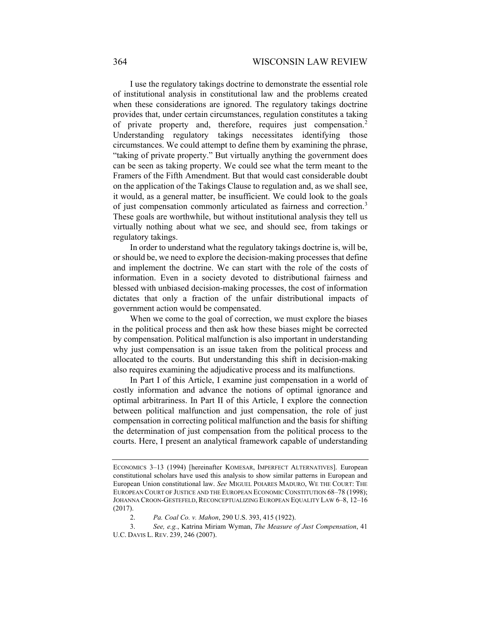I use the regulatory takings doctrine to demonstrate the essential role of institutional analysis in constitutional law and the problems created when these considerations are ignored. The regulatory takings doctrine provides that, under certain circumstances, regulation constitutes a taking of private property and, therefore, requires just compensation.<sup>[2](#page-1-0)</sup> Understanding regulatory takings necessitates identifying those circumstances. We could attempt to define them by examining the phrase, "taking of private property." But virtually anything the government does can be seen as taking property. We could see what the term meant to the Framers of the Fifth Amendment. But that would cast considerable doubt on the application of the Takings Clause to regulation and, as we shall see, it would, as a general matter, be insufficient. We could look to the goals of just compensation commonly articulated as fairness and correction.<sup>[3](#page-1-1)</sup> These goals are worthwhile, but without institutional analysis they tell us virtually nothing about what we see, and should see, from takings or regulatory takings.

<span id="page-1-2"></span>In order to understand what the regulatory takings doctrine is, will be, or should be, we need to explore the decision-making processes that define and implement the doctrine. We can start with the role of the costs of information. Even in a society devoted to distributional fairness and blessed with unbiased decision-making processes, the cost of information dictates that only a fraction of the unfair distributional impacts of government action would be compensated.

When we come to the goal of correction, we must explore the biases in the political process and then ask how these biases might be corrected by compensation. Political malfunction is also important in understanding why just compensation is an issue taken from the political process and allocated to the courts. But understanding this shift in decision-making also requires examining the adjudicative process and its malfunctions.

In Part I of this Article, I examine just compensation in a world of costly information and advance the notions of optimal ignorance and optimal arbitrariness. In Part II of this Article, I explore the connection between political malfunction and just compensation, the role of just compensation in correcting political malfunction and the basis for shifting the determination of just compensation from the political process to the courts. Here, I present an analytical framework capable of understanding

ECONOMICS 3–13 (1994) [hereinafter KOMESAR, IMPERFECT ALTERNATIVES]. European constitutional scholars have used this analysis to show similar patterns in European and European Union constitutional law. *See* MIGUEL POIARES MADURO, WE THE COURT: THE EUROPEAN COURT OF JUSTICE AND THE EUROPEAN ECONOMIC CONSTITUTION 68–78 (1998); JOHANNA CROON-GESTEFELD, RECONCEPTUALIZING EUROPEAN EQUALITY LAW 6–8, 12–16 (2017).

<sup>2.</sup> *Pa. Coal Co. v. Mahon*, 290 U.S. 393, 415 (1922).

<span id="page-1-1"></span><span id="page-1-0"></span><sup>3.</sup> *See, e.g.*, Katrina Miriam Wyman, *The Measure of Just Compensation*, 41 U.C. DAVIS L. REV. 239, 246 (2007).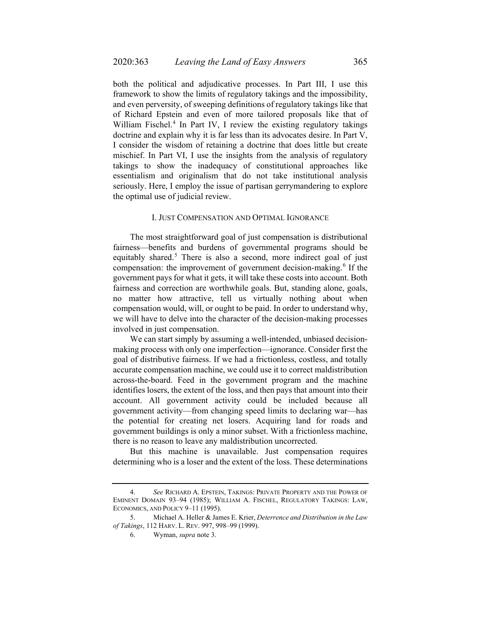<span id="page-2-3"></span>both the political and adjudicative processes. In Part III, I use this framework to show the limits of regulatory takings and the impossibility, and even perversity, of sweeping definitions of regulatory takings like that of Richard Epstein and even of more tailored proposals like that of William Fischel.<sup>[4](#page-2-0)</sup> In Part IV, I review the existing regulatory takings doctrine and explain why it is far less than its advocates desire. In Part V, I consider the wisdom of retaining a doctrine that does little but create mischief. In Part VI, I use the insights from the analysis of regulatory takings to show the inadequacy of constitutional approaches like essentialism and originalism that do not take institutional analysis seriously. Here, I employ the issue of partisan gerrymandering to explore the optimal use of judicial review.

#### I. JUST COMPENSATION AND OPTIMAL IGNORANCE

The most straightforward goal of just compensation is distributional fairness—benefits and burdens of governmental programs should be equitably shared.<sup>[5](#page-2-1)</sup> There is also a second, more indirect goal of just compensation: the improvement of government decision-making.<sup>[6](#page-2-2)</sup> If the government pays for what it gets, it will take these costs into account. Both fairness and correction are worthwhile goals. But, standing alone, goals, no matter how attractive, tell us virtually nothing about when compensation would, will, or ought to be paid. In order to understand why, we will have to delve into the character of the decision-making processes involved in just compensation.

We can start simply by assuming a well-intended, unbiased decisionmaking process with only one imperfection—ignorance. Consider first the goal of distributive fairness. If we had a frictionless, costless, and totally accurate compensation machine, we could use it to correct maldistribution across-the-board. Feed in the government program and the machine identifies losers, the extent of the loss, and then pays that amount into their account. All government activity could be included because all government activity—from changing speed limits to declaring war—has the potential for creating net losers. Acquiring land for roads and government buildings is only a minor subset. With a frictionless machine, there is no reason to leave any maldistribution uncorrected.

But this machine is unavailable. Just compensation requires determining who is a loser and the extent of the loss. These determinations

<span id="page-2-0"></span><sup>4.</sup> *See* RICHARD A. EPSTEIN, TAKINGS: PRIVATE PROPERTY AND THE POWER OF EMINENT DOMAIN 93–94 (1985); WILLIAM A. FISCHEL, REGULATORY TAKINGS: LAW, ECONOMICS, AND POLICY 9–11 (1995).

<span id="page-2-2"></span><span id="page-2-1"></span><sup>5.</sup> Michael A. Heller & James E. Krier, *Deterrence and Distribution in the Law of Takings*, 112 HARV. L. REV. 997, 998–99 (1999).

<sup>6.</sup> Wyman, *supra* not[e 3.](#page-1-2)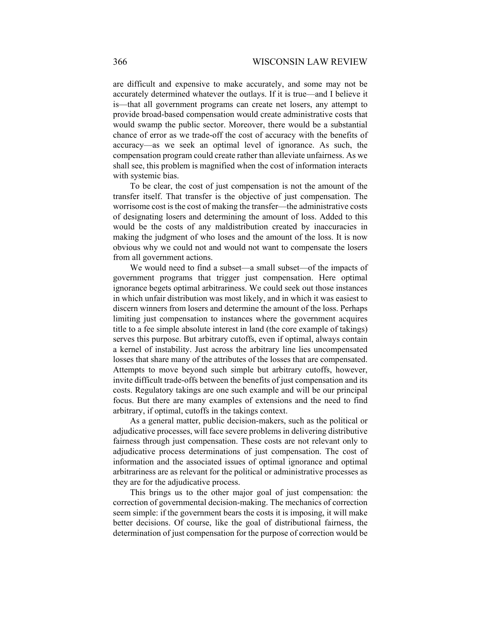are difficult and expensive to make accurately, and some may not be accurately determined whatever the outlays. If it is true—and I believe it is—that all government programs can create net losers, any attempt to provide broad-based compensation would create administrative costs that would swamp the public sector. Moreover, there would be a substantial chance of error as we trade-off the cost of accuracy with the benefits of accuracy—as we seek an optimal level of ignorance. As such, the compensation program could create rather than alleviate unfairness. As we shall see, this problem is magnified when the cost of information interacts with systemic bias.

To be clear, the cost of just compensation is not the amount of the transfer itself. That transfer is the objective of just compensation. The worrisome cost is the cost of making the transfer—the administrative costs of designating losers and determining the amount of loss. Added to this would be the costs of any maldistribution created by inaccuracies in making the judgment of who loses and the amount of the loss. It is now obvious why we could not and would not want to compensate the losers from all government actions.

We would need to find a subset—a small subset—of the impacts of government programs that trigger just compensation. Here optimal ignorance begets optimal arbitrariness. We could seek out those instances in which unfair distribution was most likely, and in which it was easiest to discern winners from losers and determine the amount of the loss. Perhaps limiting just compensation to instances where the government acquires title to a fee simple absolute interest in land (the core example of takings) serves this purpose. But arbitrary cutoffs, even if optimal, always contain a kernel of instability. Just across the arbitrary line lies uncompensated losses that share many of the attributes of the losses that are compensated. Attempts to move beyond such simple but arbitrary cutoffs, however, invite difficult trade-offs between the benefits of just compensation and its costs. Regulatory takings are one such example and will be our principal focus. But there are many examples of extensions and the need to find arbitrary, if optimal, cutoffs in the takings context.

As a general matter, public decision-makers, such as the political or adjudicative processes, will face severe problems in delivering distributive fairness through just compensation. These costs are not relevant only to adjudicative process determinations of just compensation. The cost of information and the associated issues of optimal ignorance and optimal arbitrariness are as relevant for the political or administrative processes as they are for the adjudicative process.

This brings us to the other major goal of just compensation: the correction of governmental decision-making. The mechanics of correction seem simple: if the government bears the costs it is imposing, it will make better decisions. Of course, like the goal of distributional fairness, the determination of just compensation for the purpose of correction would be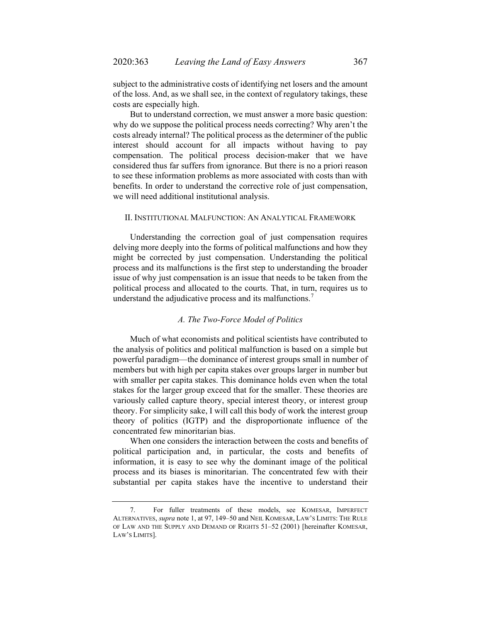subject to the administrative costs of identifying net losers and the amount of the loss. And, as we shall see, in the context of regulatory takings, these costs are especially high.

But to understand correction, we must answer a more basic question: why do we suppose the political process needs correcting? Why aren't the costs already internal? The political process as the determiner of the public interest should account for all impacts without having to pay compensation. The political process decision-maker that we have considered thus far suffers from ignorance. But there is no a priori reason to see these information problems as more associated with costs than with benefits. In order to understand the corrective role of just compensation, we will need additional institutional analysis.

#### II. INSTITUTIONAL MALFUNCTION: AN ANALYTICAL FRAMEWORK

Understanding the correction goal of just compensation requires delving more deeply into the forms of political malfunctions and how they might be corrected by just compensation. Understanding the political process and its malfunctions is the first step to understanding the broader issue of why just compensation is an issue that needs to be taken from the political process and allocated to the courts. That, in turn, requires us to understand the adjudicative process and its malfunctions.<sup>[7](#page-4-0)</sup>

# <span id="page-4-1"></span>*A. The Two-Force Model of Politics*

Much of what economists and political scientists have contributed to the analysis of politics and political malfunction is based on a simple but powerful paradigm—the dominance of interest groups small in number of members but with high per capita stakes over groups larger in number but with smaller per capita stakes. This dominance holds even when the total stakes for the larger group exceed that for the smaller. These theories are variously called capture theory, special interest theory, or interest group theory. For simplicity sake, I will call this body of work the interest group theory of politics (IGTP) and the disproportionate influence of the concentrated few minoritarian bias.

When one considers the interaction between the costs and benefits of political participation and, in particular, the costs and benefits of information, it is easy to see why the dominant image of the political process and its biases is minoritarian. The concentrated few with their substantial per capita stakes have the incentive to understand their

<span id="page-4-0"></span><sup>7.</sup> For fuller treatments of these models, see KOMESAR, IMPERFECT ALTERNATIVES, *supra* note [1,](#page-0-2) at 97, 149–50 and NEIL KOMESAR, LAW'S LIMITS: THE RULE OF LAW AND THE SUPPLY AND DEMAND OF RIGHTS 51–52 (2001) [hereinafter KOMESAR, LAW'S LIMITS].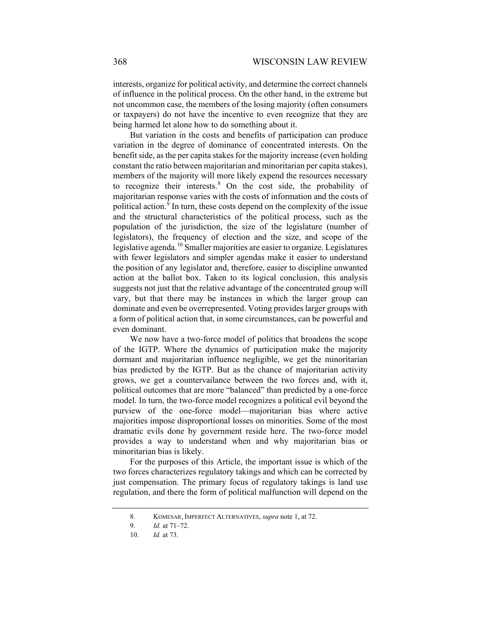interests, organize for political activity, and determine the correct channels of influence in the political process. On the other hand, in the extreme but not uncommon case, the members of the losing majority (often consumers or taxpayers) do not have the incentive to even recognize that they are being harmed let alone how to do something about it.

But variation in the costs and benefits of participation can produce variation in the degree of dominance of concentrated interests. On the benefit side, as the per capita stakes for the majority increase (even holding constant the ratio between majoritarian and minoritarian per capita stakes), members of the majority will more likely expend the resources necessary to recognize their interests.<sup>[8](#page-5-0)</sup> On the cost side, the probability of majoritarian response varies with the costs of information and the costs of political action.<sup>[9](#page-5-1)</sup> In turn, these costs depend on the complexity of the issue and the structural characteristics of the political process, such as the population of the jurisdiction, the size of the legislature (number of legislators), the frequency of election and the size, and scope of the legislative agenda.<sup>[10](#page-5-2)</sup> Smaller majorities are easier to organize. Legislatures with fewer legislators and simpler agendas make it easier to understand the position of any legislator and, therefore, easier to discipline unwanted action at the ballot box. Taken to its logical conclusion, this analysis suggests not just that the relative advantage of the concentrated group will vary, but that there may be instances in which the larger group can dominate and even be overrepresented. Voting provides larger groups with a form of political action that, in some circumstances, can be powerful and even dominant.

We now have a two-force model of politics that broadens the scope of the IGTP. Where the dynamics of participation make the majority dormant and majoritarian influence negligible, we get the minoritarian bias predicted by the IGTP. But as the chance of majoritarian activity grows, we get a countervailance between the two forces and, with it, political outcomes that are more "balanced" than predicted by a one-force model. In turn, the two-force model recognizes a political evil beyond the purview of the one-force model—majoritarian bias where active majorities impose disproportional losses on minorities. Some of the most dramatic evils done by government reside here. The two-force model provides a way to understand when and why majoritarian bias or minoritarian bias is likely.

<span id="page-5-1"></span><span id="page-5-0"></span>For the purposes of this Article, the important issue is which of the two forces characterizes regulatory takings and which can be corrected by just compensation. The primary focus of regulatory takings is land use regulation, and there the form of political malfunction will depend on the

<sup>8.</sup> KOMESAR, IMPERFECT ALTERNATIVES, *supra* not[e 1,](#page-0-2) at 72.

<sup>9.</sup> *Id.* at 71–72.

<span id="page-5-2"></span><sup>10.</sup> *Id.* at 73.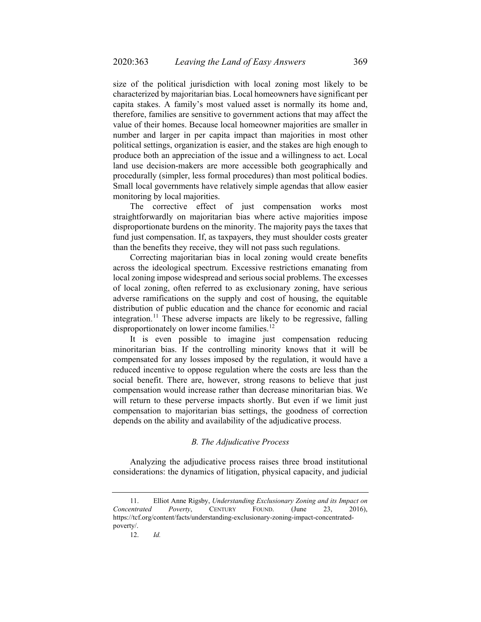size of the political jurisdiction with local zoning most likely to be characterized by majoritarian bias. Local homeowners have significant per capita stakes. A family's most valued asset is normally its home and, therefore, families are sensitive to government actions that may affect the value of their homes. Because local homeowner majorities are smaller in number and larger in per capita impact than majorities in most other political settings, organization is easier, and the stakes are high enough to produce both an appreciation of the issue and a willingness to act. Local land use decision-makers are more accessible both geographically and procedurally (simpler, less formal procedures) than most political bodies. Small local governments have relatively simple agendas that allow easier monitoring by local majorities.

The corrective effect of just compensation works most straightforwardly on majoritarian bias where active majorities impose disproportionate burdens on the minority. The majority pays the taxes that fund just compensation. If, as taxpayers, they must shoulder costs greater than the benefits they receive, they will not pass such regulations.

Correcting majoritarian bias in local zoning would create benefits across the ideological spectrum. Excessive restrictions emanating from local zoning impose widespread and serious social problems. The excesses of local zoning, often referred to as exclusionary zoning, have serious adverse ramifications on the supply and cost of housing, the equitable distribution of public education and the chance for economic and racial integration.<sup>[11](#page-6-0)</sup> These adverse impacts are likely to be regressive, falling disproportionately on lower income families.<sup>[12](#page-6-1)</sup>

It is even possible to imagine just compensation reducing minoritarian bias. If the controlling minority knows that it will be compensated for any losses imposed by the regulation, it would have a reduced incentive to oppose regulation where the costs are less than the social benefit. There are, however, strong reasons to believe that just compensation would increase rather than decrease minoritarian bias. We will return to these perverse impacts shortly. But even if we limit just compensation to majoritarian bias settings, the goodness of correction depends on the ability and availability of the adjudicative process.

# *B. The Adjudicative Process*

Analyzing the adjudicative process raises three broad institutional considerations: the dynamics of litigation, physical capacity, and judicial

<span id="page-6-1"></span><span id="page-6-0"></span><sup>11.</sup> Elliot Anne Rigsby, *Understanding Exclusionary Zoning and its Impact on Concentrated Poverty*, CENTURY FOUND. (June 23, 2016), https://tcf.org/content/facts/understanding-exclusionary-zoning-impact-concentratedpoverty/.

<sup>12.</sup> *Id.*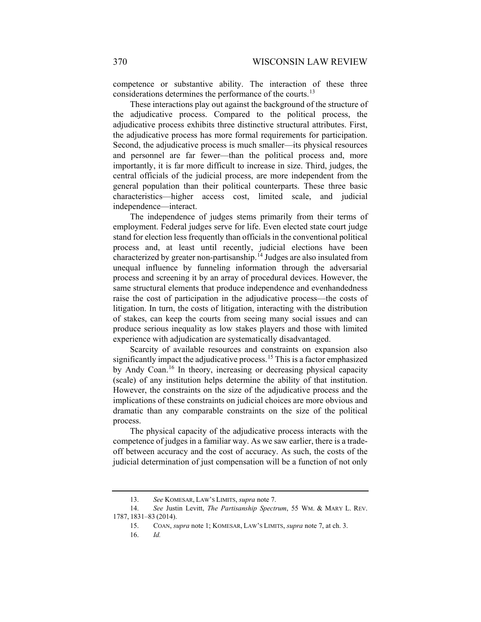competence or substantive ability. The interaction of these three considerations determines the performance of the courts.<sup>[13](#page-7-0)</sup>

These interactions play out against the background of the structure of the adjudicative process. Compared to the political process, the adjudicative process exhibits three distinctive structural attributes. First, the adjudicative process has more formal requirements for participation. Second, the adjudicative process is much smaller—its physical resources and personnel are far fewer—than the political process and, more importantly, it is far more difficult to increase in size. Third, judges, the central officials of the judicial process, are more independent from the general population than their political counterparts. These three basic characteristics—higher access cost, limited scale, and judicial independence—interact.

The independence of judges stems primarily from their terms of employment. Federal judges serve for life. Even elected state court judge stand for election less frequently than officials in the conventional political process and, at least until recently, judicial elections have been characterized by greater non-partisanship.<sup>[14](#page-7-1)</sup> Judges are also insulated from unequal influence by funneling information through the adversarial process and screening it by an array of procedural devices. However, the same structural elements that produce independence and evenhandedness raise the cost of participation in the adjudicative process—the costs of litigation. In turn, the costs of litigation, interacting with the distribution of stakes, can keep the courts from seeing many social issues and can produce serious inequality as low stakes players and those with limited experience with adjudication are systematically disadvantaged.

Scarcity of available resources and constraints on expansion also significantly impact the adjudicative process.<sup>[15](#page-7-2)</sup> This is a factor emphasized by Andy Coan.<sup>[16](#page-7-3)</sup> In theory, increasing or decreasing physical capacity (scale) of any institution helps determine the ability of that institution. However, the constraints on the size of the adjudicative process and the implications of these constraints on judicial choices are more obvious and dramatic than any comparable constraints on the size of the political process.

The physical capacity of the adjudicative process interacts with the competence of judges in a familiar way. As we saw earlier, there is a tradeoff between accuracy and the cost of accuracy. As such, the costs of the judicial determination of just compensation will be a function of not only

<sup>13.</sup> *See* KOMESAR, LAW'S LIMITS, *supra* note [7.](#page-4-1)

<span id="page-7-3"></span><span id="page-7-2"></span><span id="page-7-1"></span><span id="page-7-0"></span><sup>14.</sup> *See* Justin Levitt, *The Partisanship Spectrum*, 55 WM. & MARY L. REV. 1787, 1831–83 (2014).

<sup>15.</sup> COAN, *supra* not[e 1;](#page-0-2) KOMESAR, LAW'S LIMITS, *supra* not[e 7,](#page-4-1) at ch. 3.

<sup>16.</sup> *Id.*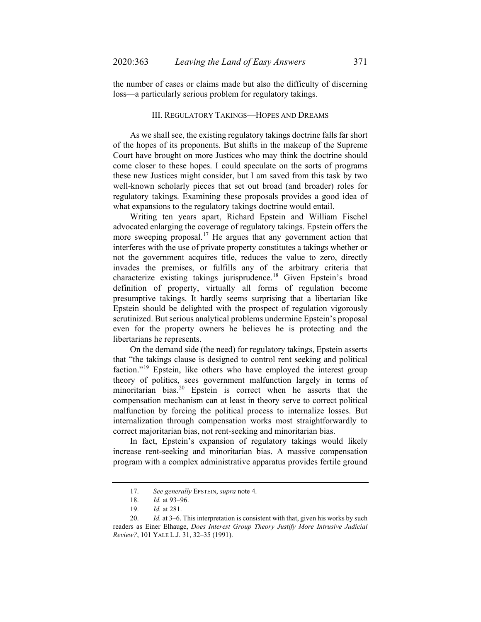the number of cases or claims made but also the difficulty of discerning loss—a particularly serious problem for regulatory takings.

### III. REGULATORY TAKINGS—HOPES AND DREAMS

As we shall see, the existing regulatory takings doctrine falls far short of the hopes of its proponents. But shifts in the makeup of the Supreme Court have brought on more Justices who may think the doctrine should come closer to these hopes. I could speculate on the sorts of programs these new Justices might consider, but I am saved from this task by two well-known scholarly pieces that set out broad (and broader) roles for regulatory takings. Examining these proposals provides a good idea of what expansions to the regulatory takings doctrine would entail.

Writing ten years apart, Richard Epstein and William Fischel advocated enlarging the coverage of regulatory takings. Epstein offers the more sweeping proposal.<sup>[17](#page-8-0)</sup> He argues that any government action that interferes with the use of private property constitutes a takings whether or not the government acquires title, reduces the value to zero, directly invades the premises, or fulfills any of the arbitrary criteria that characterize existing takings jurisprudence.[18](#page-8-1) Given Epstein's broad definition of property, virtually all forms of regulation become presumptive takings. It hardly seems surprising that a libertarian like Epstein should be delighted with the prospect of regulation vigorously scrutinized. But serious analytical problems undermine Epstein's proposal even for the property owners he believes he is protecting and the libertarians he represents.

On the demand side (the need) for regulatory takings, Epstein asserts that "the takings clause is designed to control rent seeking and political faction."<sup>[19](#page-8-2)</sup> Epstein, like others who have employed the interest group theory of politics, sees government malfunction largely in terms of minoritarian bias.<sup>[20](#page-8-3)</sup> Epstein is correct when he asserts that the compensation mechanism can at least in theory serve to correct political malfunction by forcing the political process to internalize losses. But internalization through compensation works most straightforwardly to correct majoritarian bias, not rent-seeking and minoritarian bias.

In fact, Epstein's expansion of regulatory takings would likely increase rent-seeking and minoritarian bias. A massive compensation program with a complex administrative apparatus provides fertile ground

<sup>17.</sup> *See generally* EPSTEIN, *supra* not[e 4.](#page-2-3)

<sup>18.</sup> *Id.* at 93–96.

<sup>19.</sup> *Id.* at 281.

<span id="page-8-3"></span><span id="page-8-2"></span><span id="page-8-1"></span><span id="page-8-0"></span><sup>20.</sup> *Id.* at 3–6. This interpretation is consistent with that, given his works by such readers as Einer Elhauge, *Does Interest Group Theory Justify More Intrusive Judicial Review?*, 101 YALE L.J. 31, 32–35 (1991).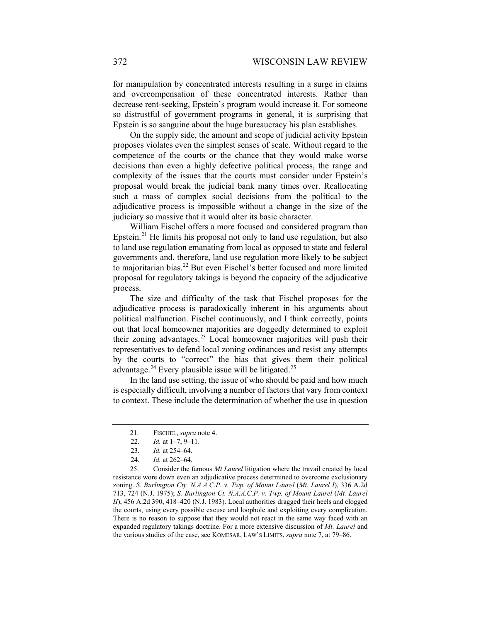for manipulation by concentrated interests resulting in a surge in claims and overcompensation of these concentrated interests. Rather than decrease rent-seeking, Epstein's program would increase it. For someone so distrustful of government programs in general, it is surprising that Epstein is so sanguine about the huge bureaucracy his plan establishes.

On the supply side, the amount and scope of judicial activity Epstein proposes violates even the simplest senses of scale. Without regard to the competence of the courts or the chance that they would make worse decisions than even a highly defective political process, the range and complexity of the issues that the courts must consider under Epstein's proposal would break the judicial bank many times over. Reallocating such a mass of complex social decisions from the political to the adjudicative process is impossible without a change in the size of the judiciary so massive that it would alter its basic character.

William Fischel offers a more focused and considered program than Epstein. $21$  He limits his proposal not only to land use regulation, but also to land use regulation emanating from local as opposed to state and federal governments and, therefore, land use regulation more likely to be subject to majoritarian bias.<sup>[22](#page-9-1)</sup> But even Fischel's better focused and more limited proposal for regulatory takings is beyond the capacity of the adjudicative process.

The size and difficulty of the task that Fischel proposes for the adjudicative process is paradoxically inherent in his arguments about political malfunction. Fischel continuously, and I think correctly, points out that local homeowner majorities are doggedly determined to exploit their zoning advantages.<sup>[23](#page-9-2)</sup> Local homeowner majorities will push their representatives to defend local zoning ordinances and resist any attempts by the courts to "correct" the bias that gives them their political advantage.<sup>[24](#page-9-3)</sup> Every plausible issue will be litigated.<sup>[25](#page-9-4)</sup>

In the land use setting, the issue of who should be paid and how much is especially difficult, involving a number of factors that vary from context to context. These include the determination of whether the use in question

<sup>21.</sup> FISCHEL, *supra* not[e 4.](#page-2-3)

<sup>22.</sup> *Id.* at 1–7, 9–11.

<sup>23.</sup> *Id.* at 254–64.

<sup>24.</sup> *Id.* at 262–64.

<span id="page-9-4"></span><span id="page-9-3"></span><span id="page-9-2"></span><span id="page-9-1"></span><span id="page-9-0"></span><sup>25.</sup> Consider the famous *Mt Laurel* litigation where the travail created by local resistance wore down even an adjudicative process determined to overcome exclusionary zoning. *S. Burlington Cty. N.A.A.C.P. v. Twp. of Mount Laurel* (*Mt. Laurel I*), 336 A.2d 713, 724 (N.J. 1975); *S. Burlington Ct. N.A.A.C.P. v. Twp. of Mount Laurel* (*Mt. Laurel II*), 456 A.2d 390, 418–420 (N.J. 1983). Local authorities dragged their heels and clogged the courts, using every possible excuse and loophole and exploiting every complication. There is no reason to suppose that they would not react in the same way faced with an expanded regulatory takings doctrine. For a more extensive discussion of *Mt. Laurel* and the various studies of the case, see KOMESAR, LAW'S LIMITS, *supra* note [7,](#page-4-1) at 79–86.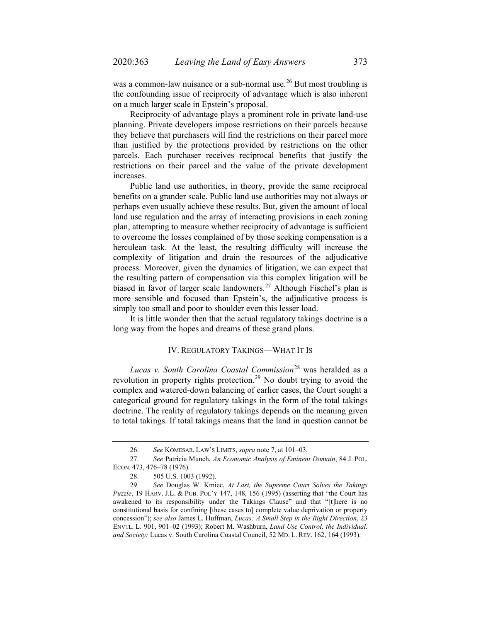was a common-law nuisance or a sub-normal use.<sup>[26](#page-10-0)</sup> But most troubling is the confounding issue of reciprocity of advantage which is also inherent on a much larger scale in Epstein's proposal.

Reciprocity of advantage plays a prominent role in private land-use planning. Private developers impose restrictions on their parcels because they believe that purchasers will find the restrictions on their parcel more than justified by the protections provided by restrictions on the other parcels. Each purchaser receives reciprocal benefits that justify the restrictions on their parcel and the value of the private development increases.

Public land use authorities, in theory, provide the same reciprocal benefits on a grander scale. Public land use authorities may not always or perhaps even usually achieve these results. But, given the amount of local land use regulation and the array of interacting provisions in each zoning plan, attempting to measure whether reciprocity of advantage is sufficient to overcome the losses complained of by those seeking compensation is a herculean task. At the least, the resulting difficulty will increase the complexity of litigation and drain the resources of the adjudicative process. Moreover, given the dynamics of litigation, we can expect that the resulting pattern of compensation via this complex litigation will be biased in favor of larger scale landowners.<sup>[27](#page-10-1)</sup> Although Fischel's plan is more sensible and focused than Epstein's, the adjudicative process is simply too small and poor to shoulder even this lesser load.

It is little wonder then that the actual regulatory takings doctrine is a long way from the hopes and dreams of these grand plans.

# IV. REGULATORY TAKINGS—WHAT IT IS

*Lucas v. South Carolina Coastal Commission*[28](#page-10-2) was heralded as a revolution in property rights protection.<sup>[29](#page-10-3)</sup> No doubt trying to avoid the complex and watered-down balancing of earlier cases, the Court sought a categorical ground for regulatory takings in the form of the total takings doctrine. The reality of regulatory takings depends on the meaning given to total takings. If total takings means that the land in question cannot be

<sup>26.</sup> *See* KOMESAR, LAW'S LIMITS, *supra* note [7,](#page-4-1) at 101–03.

<span id="page-10-1"></span><span id="page-10-0"></span><sup>27.</sup> *See* Patricia Munch, *An Economic Analysis of Eminent Domain*, 84 J. POL. ECON. 473, 476–78 (1976).

<sup>28.</sup> 505 U.S. 1003 (1992).

<span id="page-10-3"></span><span id="page-10-2"></span><sup>29.</sup> *See* Douglas W. Kmiec, *At Last, the Supreme Court Solves the Takings Puzzle*, 19 HARV. J.L. & PUB. POL'Y 147, 148, 156 (1995) (asserting that "the Court has awakened to its responsibility under the Takings Clause" and that "[t]here is no constitutional basis for confining [these cases to] complete value deprivation or property concession"); *see also* James L. Huffman, *Lucas: A Small Step in the Right Direction*, 23 ENVTL. L. 901, 901–02 (1993); Robert M. Washburn, *Land Use Control, the Individual, and Society:* Lucas v. South Carolina Coastal Council, 52 MD. L. REV. 162, 164 (1993).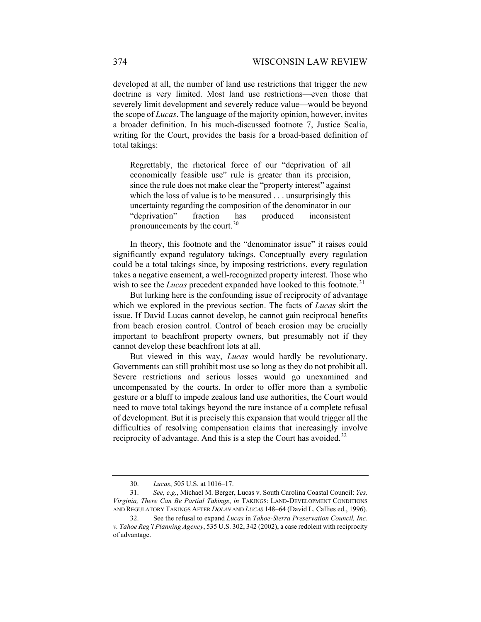developed at all, the number of land use restrictions that trigger the new doctrine is very limited. Most land use restrictions—even those that severely limit development and severely reduce value—would be beyond the scope of *Lucas*. The language of the majority opinion, however, invites a broader definition. In his much-discussed footnote 7, Justice Scalia, writing for the Court, provides the basis for a broad-based definition of total takings:

Regrettably, the rhetorical force of our "deprivation of all economically feasible use" rule is greater than its precision, since the rule does not make clear the "property interest" against which the loss of value is to be measured . . . unsurprisingly this uncertainty regarding the composition of the denominator in our "deprivation" fraction has produced inconsistent pronouncements by the court.<sup>[30](#page-11-0)</sup>

In theory, this footnote and the "denominator issue" it raises could significantly expand regulatory takings. Conceptually every regulation could be a total takings since, by imposing restrictions, every regulation takes a negative easement, a well-recognized property interest. Those who wish to see the *Lucas* precedent expanded have looked to this footnote.<sup>[31](#page-11-1)</sup>

But lurking here is the confounding issue of reciprocity of advantage which we explored in the previous section. The facts of *Lucas* skirt the issue. If David Lucas cannot develop, he cannot gain reciprocal benefits from beach erosion control. Control of beach erosion may be crucially important to beachfront property owners, but presumably not if they cannot develop these beachfront lots at all.

But viewed in this way, *Lucas* would hardly be revolutionary. Governments can still prohibit most use so long as they do not prohibit all. Severe restrictions and serious losses would go unexamined and uncompensated by the courts. In order to offer more than a symbolic gesture or a bluff to impede zealous land use authorities, the Court would need to move total takings beyond the rare instance of a complete refusal of development. But it is precisely this expansion that would trigger all the difficulties of resolving compensation claims that increasingly involve reciprocity of advantage. And this is a step the Court has avoided.<sup>[32](#page-11-2)</sup>

<sup>30.</sup> *Lucas*, 505 U.S. at 1016–17.

<span id="page-11-1"></span><span id="page-11-0"></span><sup>31.</sup> *See, e.g.*, Michael M. Berger, Lucas v. South Carolina Coastal Council: *Yes, Virginia, There Can Be Partial Takings*, *in* TAKINGS: LAND-DEVELOPMENT CONDITIONS AND REGULATORY TAKINGS AFTER *DOLAN* AND *LUCAS* 148–64 (David L. Callies ed., 1996).

<span id="page-11-2"></span><sup>32.</sup> See the refusal to expand *Lucas* in *Tahoe-Sierra Preservation Council, Inc. v. Tahoe Reg'l Planning Agency*, 535 U.S. 302, 342 (2002), a case redolent with reciprocity of advantage.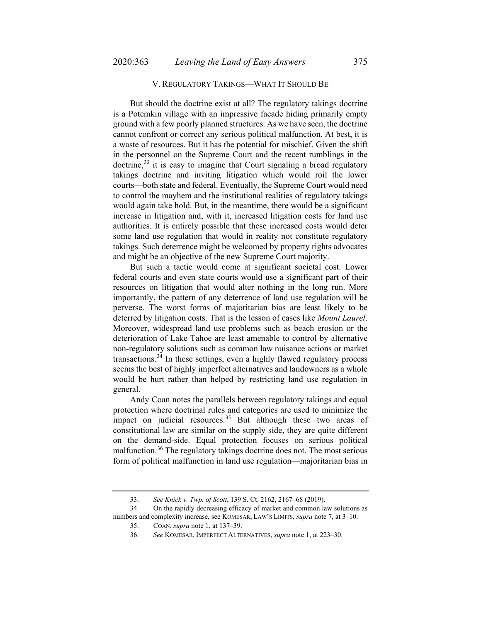## V. REGULATORY TAKINGS—WHAT IT SHOULD BE

But should the doctrine exist at all? The regulatory takings doctrine is a Potemkin village with an impressive facade hiding primarily empty ground with a few poorly planned structures. As we have seen, the doctrine cannot confront or correct any serious political malfunction. At best, it is a waste of resources. But it has the potential for mischief. Given the shift in the personnel on the Supreme Court and the recent rumblings in the  $dot{c}$ ,  $33$  it is easy to imagine that Court signaling a broad regulatory takings doctrine and inviting litigation which would roil the lower courts—both state and federal. Eventually, the Supreme Court would need to control the mayhem and the institutional realities of regulatory takings would again take hold. But, in the meantime, there would be a significant increase in litigation and, with it, increased litigation costs for land use authorities. It is entirely possible that these increased costs would deter some land use regulation that would in reality not constitute regulatory takings. Such deterrence might be welcomed by property rights advocates and might be an objective of the new Supreme Court majority.

But such a tactic would come at significant societal cost. Lower federal courts and even state courts would use a significant part of their resources on litigation that would alter nothing in the long run. More importantly, the pattern of any deterrence of land use regulation will be perverse. The worst forms of majoritarian bias are least likely to be deterred by litigation costs. That is the lesson of cases like *Mount Laurel*. Moreover, widespread land use problems such as beach erosion or the deterioration of Lake Tahoe are least amenable to control by alternative non-regulatory solutions such as common law nuisance actions or market transactions.<sup>[34](#page-12-1)</sup> In these settings, even a highly flawed regulatory process seems the best of highly imperfect alternatives and landowners as a whole would be hurt rather than helped by restricting land use regulation in general.

Andy Coan notes the parallels between regulatory takings and equal protection where doctrinal rules and categories are used to minimize the impact on judicial resources.<sup>[35](#page-12-2)</sup> But although these two areas of constitutional law are similar on the supply side, they are quite different on the demand-side. Equal protection focuses on serious political malfunction.[36](#page-12-3) The regulatory takings doctrine does not. The most serious form of political malfunction in land use regulation—majoritarian bias in

<sup>33.</sup> *See Knick v. Twp. of Scott*, 139 S. Ct. 2162, 2167–68 (2019).

<span id="page-12-3"></span><span id="page-12-2"></span><span id="page-12-1"></span><span id="page-12-0"></span><sup>34.</sup> On the rapidly decreasing efficacy of market and common law solutions as numbers and complexity increase, see KOMESAR, LAW'S LIMITS, *supra* note [7,](#page-4-1) at 3–10.

<sup>35.</sup> COAN, *supra* not[e 1,](#page-0-2) at 137–39.

<sup>36.</sup> *See* KOMESAR, IMPERFECT ALTERNATIVES, *supra* not[e 1,](#page-0-2) at 223–30.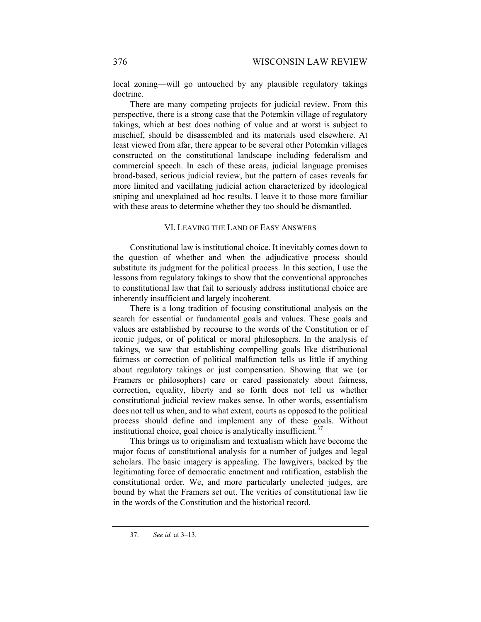local zoning—will go untouched by any plausible regulatory takings doctrine.

There are many competing projects for judicial review. From this perspective, there is a strong case that the Potemkin village of regulatory takings, which at best does nothing of value and at worst is subject to mischief, should be disassembled and its materials used elsewhere. At least viewed from afar, there appear to be several other Potemkin villages constructed on the constitutional landscape including federalism and commercial speech. In each of these areas, judicial language promises broad-based, serious judicial review, but the pattern of cases reveals far more limited and vacillating judicial action characterized by ideological sniping and unexplained ad hoc results. I leave it to those more familiar with these areas to determine whether they too should be dismantled.

## VI. LEAVING THE LAND OF EASY ANSWERS

Constitutional law is institutional choice. It inevitably comes down to the question of whether and when the adjudicative process should substitute its judgment for the political process. In this section, I use the lessons from regulatory takings to show that the conventional approaches to constitutional law that fail to seriously address institutional choice are inherently insufficient and largely incoherent.

There is a long tradition of focusing constitutional analysis on the search for essential or fundamental goals and values. These goals and values are established by recourse to the words of the Constitution or of iconic judges, or of political or moral philosophers. In the analysis of takings, we saw that establishing compelling goals like distributional fairness or correction of political malfunction tells us little if anything about regulatory takings or just compensation. Showing that we (or Framers or philosophers) care or cared passionately about fairness, correction, equality, liberty and so forth does not tell us whether constitutional judicial review makes sense. In other words, essentialism does not tell us when, and to what extent, courts as opposed to the political process should define and implement any of these goals. Without institutional choice, goal choice is analytically insufficient.<sup>[37](#page-13-0)</sup>

This brings us to originalism and textualism which have become the major focus of constitutional analysis for a number of judges and legal scholars. The basic imagery is appealing. The lawgivers, backed by the legitimating force of democratic enactment and ratification, establish the constitutional order. We, and more particularly unelected judges, are bound by what the Framers set out. The verities of constitutional law lie in the words of the Constitution and the historical record.

<span id="page-13-0"></span><sup>37.</sup> *See id.* at 3–13.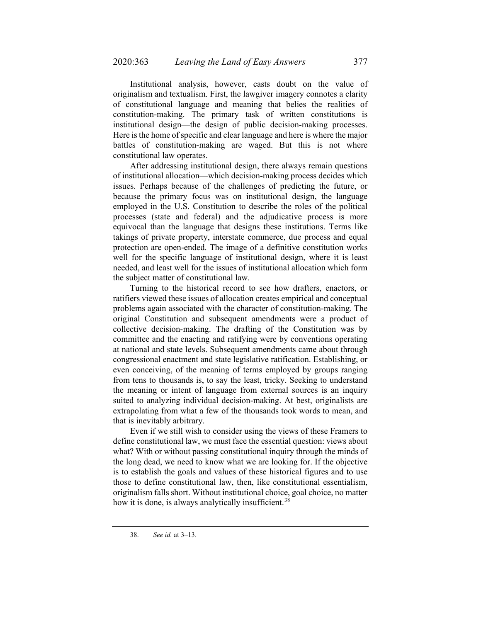Institutional analysis, however, casts doubt on the value of originalism and textualism. First, the lawgiver imagery connotes a clarity of constitutional language and meaning that belies the realities of constitution-making. The primary task of written constitutions is institutional design—the design of public decision-making processes. Here is the home of specific and clear language and here is where the major battles of constitution-making are waged. But this is not where constitutional law operates.

After addressing institutional design, there always remain questions of institutional allocation—which decision-making process decides which issues. Perhaps because of the challenges of predicting the future, or because the primary focus was on institutional design, the language employed in the U.S. Constitution to describe the roles of the political processes (state and federal) and the adjudicative process is more equivocal than the language that designs these institutions. Terms like takings of private property, interstate commerce, due process and equal protection are open-ended. The image of a definitive constitution works well for the specific language of institutional design, where it is least needed, and least well for the issues of institutional allocation which form the subject matter of constitutional law.

Turning to the historical record to see how drafters, enactors, or ratifiers viewed these issues of allocation creates empirical and conceptual problems again associated with the character of constitution-making. The original Constitution and subsequent amendments were a product of collective decision-making. The drafting of the Constitution was by committee and the enacting and ratifying were by conventions operating at national and state levels. Subsequent amendments came about through congressional enactment and state legislative ratification. Establishing, or even conceiving, of the meaning of terms employed by groups ranging from tens to thousands is, to say the least, tricky. Seeking to understand the meaning or intent of language from external sources is an inquiry suited to analyzing individual decision-making. At best, originalists are extrapolating from what a few of the thousands took words to mean, and that is inevitably arbitrary.

Even if we still wish to consider using the views of these Framers to define constitutional law, we must face the essential question: views about what? With or without passing constitutional inquiry through the minds of the long dead, we need to know what we are looking for. If the objective is to establish the goals and values of these historical figures and to use those to define constitutional law, then, like constitutional essentialism, originalism falls short. Without institutional choice, goal choice, no matter how it is done, is always analytically insufficient.<sup>[38](#page-14-0)</sup>

<span id="page-14-0"></span><sup>38.</sup> *See id.* at 3–13.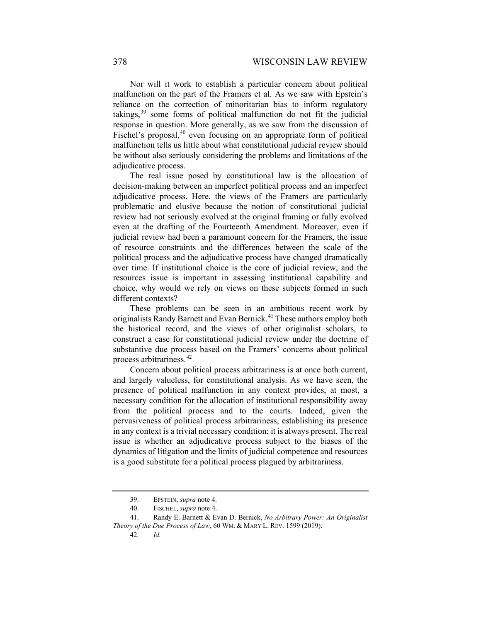Nor will it work to establish a particular concern about political malfunction on the part of the Framers et al. As we saw with Epstein's reliance on the correction of minoritarian bias to inform regulatory takings, $39$  some forms of political malfunction do not fit the judicial response in question. More generally, as we saw from the discussion of Fischel's proposal, $40$  even focusing on an appropriate form of political malfunction tells us little about what constitutional judicial review should be without also seriously considering the problems and limitations of the adjudicative process.

The real issue posed by constitutional law is the allocation of decision-making between an imperfect political process and an imperfect adjudicative process. Here, the views of the Framers are particularly problematic and elusive because the notion of constitutional judicial review had not seriously evolved at the original framing or fully evolved even at the drafting of the Fourteenth Amendment. Moreover, even if judicial review had been a paramount concern for the Framers, the issue of resource constraints and the differences between the scale of the political process and the adjudicative process have changed dramatically over time. If institutional choice is the core of judicial review, and the resources issue is important in assessing institutional capability and choice, why would we rely on views on these subjects formed in such different contexts?

<span id="page-15-4"></span>These problems can be seen in an ambitious recent work by originalists Randy Barnett and Evan Bernick.<sup>[41](#page-15-2)</sup> These authors employ both the historical record, and the views of other originalist scholars, to construct a case for constitutional judicial review under the doctrine of substantive due process based on the Framers' concerns about political process arbitrariness.<sup>[42](#page-15-3)</sup>

Concern about political process arbitrariness is at once both current, and largely valueless, for constitutional analysis. As we have seen, the presence of political malfunction in any context provides, at most, a necessary condition for the allocation of institutional responsibility away from the political process and to the courts. Indeed, given the pervasiveness of political process arbitrariness, establishing its presence in any context is a trivial necessary condition; it is always present. The real issue is whether an adjudicative process subject to the biases of the dynamics of litigation and the limits of judicial competence and resources is a good substitute for a political process plagued by arbitrariness.

<sup>39.</sup> EPSTEIN, *supra* not[e 4.](#page-2-3)

<sup>40.</sup> FISCHEL, *supra* not[e 4.](#page-2-3)

<span id="page-15-3"></span><span id="page-15-2"></span><span id="page-15-1"></span><span id="page-15-0"></span><sup>41.</sup> Randy E. Barnett & Evan D. Bernick, *No Arbitrary Power: An Originalist Theory of the Due Process of Law*, 60 WM. & MARY L. REV. 1599 (2019).

<sup>42.</sup> *Id.*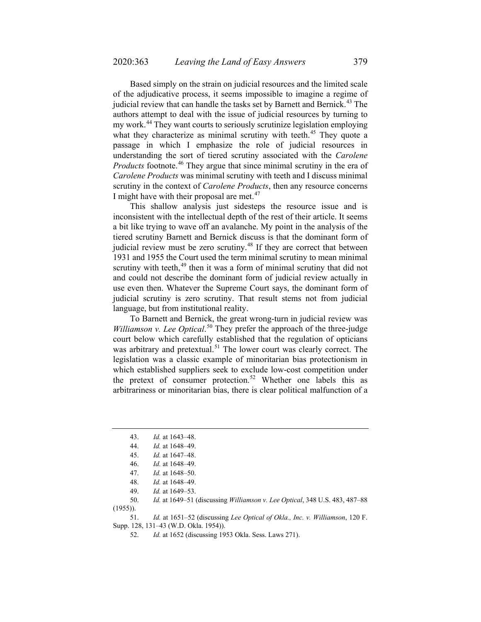Based simply on the strain on judicial resources and the limited scale of the adjudicative process, it seems impossible to imagine a regime of judicial review that can handle the tasks set by Barnett and Bernick.<sup>[43](#page-16-0)</sup> The authors attempt to deal with the issue of judicial resources by turning to my work.<sup>[44](#page-16-1)</sup> They want courts to seriously scrutinize legislation employing what they characterize as minimal scrutiny with teeth.<sup>[45](#page-16-2)</sup> They quote a passage in which I emphasize the role of judicial resources in understanding the sort of tiered scrutiny associated with the *Carolene Products* footnote.<sup>[46](#page-16-3)</sup> They argue that since minimal scrutiny in the era of *Carolene Products* was minimal scrutiny with teeth and I discuss minimal scrutiny in the context of *Carolene Products*, then any resource concerns I might have with their proposal are met. $47$ 

This shallow analysis just sidesteps the resource issue and is inconsistent with the intellectual depth of the rest of their article. It seems a bit like trying to wave off an avalanche. My point in the analysis of the tiered scrutiny Barnett and Bernick discuss is that the dominant form of judicial review must be zero scrutiny.<sup>[48](#page-16-5)</sup> If they are correct that between 1931 and 1955 the Court used the term minimal scrutiny to mean minimal scrutiny with teeth,<sup>[49](#page-16-6)</sup> then it was a form of minimal scrutiny that did not and could not describe the dominant form of judicial review actually in use even then. Whatever the Supreme Court says, the dominant form of judicial scrutiny is zero scrutiny. That result stems not from judicial language, but from institutional reality.

To Barnett and Bernick, the great wrong-turn in judicial review was Williamson v. Lee Optical.<sup>[50](#page-16-7)</sup> They prefer the approach of the three-judge court below which carefully established that the regulation of opticians was arbitrary and pretextual.<sup>[51](#page-16-8)</sup> The lower court was clearly correct. The legislation was a classic example of minoritarian bias protectionism in which established suppliers seek to exclude low-cost competition under the pretext of consumer protection.<sup>[52](#page-16-9)</sup> Whether one labels this as arbitrariness or minoritarian bias, there is clear political malfunction of a

<span id="page-16-7"></span><span id="page-16-6"></span><span id="page-16-5"></span><span id="page-16-4"></span><span id="page-16-3"></span><span id="page-16-2"></span><span id="page-16-1"></span>50. *Id.* at 1649–51 (discussing *Williamson v. Lee Optical*, 348 U.S. 483, 487–88 (1955)).

<span id="page-16-9"></span><span id="page-16-8"></span>51. *Id.* at 1651–52 (discussing *Lee Optical of Okla., Inc. v. Williamson*, 120 F. Supp. 128, 131–43 (W.D. Okla. 1954)).

52. *Id.* at 1652 (discussing 1953 Okla. Sess. Laws 271).

<span id="page-16-0"></span><sup>43.</sup> *Id.* at 1643–48.

<sup>44.</sup> *Id.* at 1648–49.

<sup>45.</sup> *Id.* at 1647–48.

<sup>46.</sup> *Id.* at 1648–49.

<sup>47.</sup> *Id.* at 1648–50.

<sup>48.</sup> *Id.* at 1648–49.

<sup>49.</sup> *Id.* at 1649–53.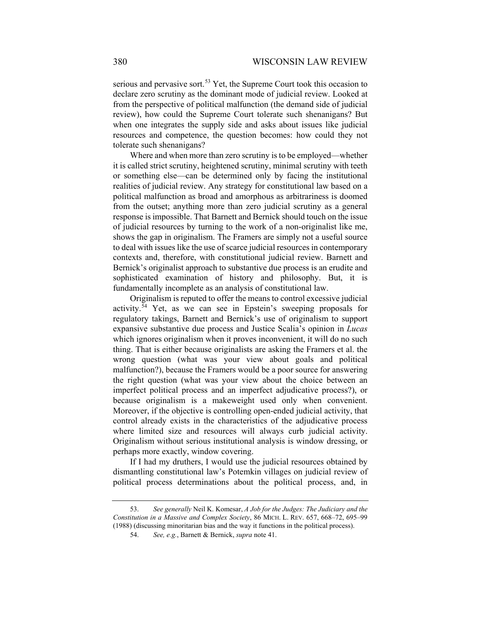serious and pervasive sort.<sup>[53](#page-17-0)</sup> Yet, the Supreme Court took this occasion to declare zero scrutiny as the dominant mode of judicial review. Looked at from the perspective of political malfunction (the demand side of judicial review), how could the Supreme Court tolerate such shenanigans? But when one integrates the supply side and asks about issues like judicial resources and competence, the question becomes: how could they not tolerate such shenanigans?

Where and when more than zero scrutiny is to be employed—whether it is called strict scrutiny, heightened scrutiny, minimal scrutiny with teeth or something else—can be determined only by facing the institutional realities of judicial review. Any strategy for constitutional law based on a political malfunction as broad and amorphous as arbitrariness is doomed from the outset; anything more than zero judicial scrutiny as a general response is impossible. That Barnett and Bernick should touch on the issue of judicial resources by turning to the work of a non-originalist like me, shows the gap in originalism. The Framers are simply not a useful source to deal with issues like the use of scarce judicial resources in contemporary contexts and, therefore, with constitutional judicial review. Barnett and Bernick's originalist approach to substantive due process is an erudite and sophisticated examination of history and philosophy. But, it is fundamentally incomplete as an analysis of constitutional law.

Originalism is reputed to offer the means to control excessive judicial activity.<sup>[54](#page-17-1)</sup> Yet, as we can see in Epstein's sweeping proposals for regulatory takings, Barnett and Bernick's use of originalism to support expansive substantive due process and Justice Scalia's opinion in *Lucas*  which ignores originalism when it proves inconvenient, it will do no such thing. That is either because originalists are asking the Framers et al. the wrong question (what was your view about goals and political malfunction?), because the Framers would be a poor source for answering the right question (what was your view about the choice between an imperfect political process and an imperfect adjudicative process?), or because originalism is a makeweight used only when convenient. Moreover, if the objective is controlling open-ended judicial activity, that control already exists in the characteristics of the adjudicative process where limited size and resources will always curb judicial activity. Originalism without serious institutional analysis is window dressing, or perhaps more exactly, window covering.

If I had my druthers, I would use the judicial resources obtained by dismantling constitutional law's Potemkin villages on judicial review of political process determinations about the political process, and, in

<span id="page-17-1"></span><span id="page-17-0"></span><sup>53.</sup> *See generally* Neil K. Komesar, *A Job for the Judges: The Judiciary and the Constitution in a Massive and Complex Society*, 86 MICH. L. REV. 657, 668–72, 695–99 (1988) (discussing minoritarian bias and the way it functions in the political process).

<sup>54.</sup> *See, e.g.*, Barnett & Bernick, *supra* note [41.](#page-15-4)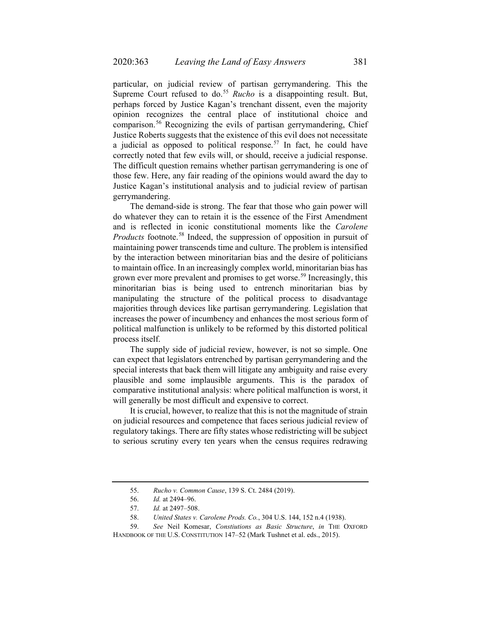particular, on judicial review of partisan gerrymandering. This the Supreme Court refused to do.<sup>[55](#page-18-0)</sup> *Rucho* is a disappointing result. But, perhaps forced by Justice Kagan's trenchant dissent, even the majority opinion recognizes the central place of institutional choice and comparison.<sup>[56](#page-18-1)</sup> Recognizing the evils of partisan gerrymandering, Chief Justice Roberts suggests that the existence of this evil does not necessitate a judicial as opposed to political response.<sup>[57](#page-18-2)</sup> In fact, he could have correctly noted that few evils will, or should, receive a judicial response. The difficult question remains whether partisan gerrymandering is one of those few. Here, any fair reading of the opinions would award the day to Justice Kagan's institutional analysis and to judicial review of partisan gerrymandering.

The demand-side is strong. The fear that those who gain power will do whatever they can to retain it is the essence of the First Amendment and is reflected in iconic constitutional moments like the *Carolene Products* footnote.<sup>[58](#page-18-3)</sup> Indeed, the suppression of opposition in pursuit of maintaining power transcends time and culture. The problem is intensified by the interaction between minoritarian bias and the desire of politicians to maintain office. In an increasingly complex world, minoritarian bias has grown ever more prevalent and promises to get worse.<sup>[59](#page-18-4)</sup> Increasingly, this minoritarian bias is being used to entrench minoritarian bias by manipulating the structure of the political process to disadvantage majorities through devices like partisan gerrymandering. Legislation that increases the power of incumbency and enhances the most serious form of political malfunction is unlikely to be reformed by this distorted political process itself.

The supply side of judicial review, however, is not so simple. One can expect that legislators entrenched by partisan gerrymandering and the special interests that back them will litigate any ambiguity and raise every plausible and some implausible arguments. This is the paradox of comparative institutional analysis: where political malfunction is worst, it will generally be most difficult and expensive to correct.

It is crucial, however, to realize that this is not the magnitude of strain on judicial resources and competence that faces serious judicial review of regulatory takings. There are fifty states whose redistricting will be subject to serious scrutiny every ten years when the census requires redrawing

<sup>55.</sup> *Rucho v. Common Cause*, 139 S. Ct. 2484 (2019).

<sup>56.</sup> *Id.* at 2494–96.

<sup>57.</sup> *Id.* at 2497–508.

<sup>58.</sup> *United States v. Carolene Prods. Co.*, 304 U.S. 144, 152 n.4 (1938).

<span id="page-18-4"></span><span id="page-18-3"></span><span id="page-18-2"></span><span id="page-18-1"></span><span id="page-18-0"></span><sup>59.</sup> *See* Neil Komesar, *Constiutions as Basic Structure*, *in* THE OXFORD HANDBOOK OF THE U.S. CONSTITUTION 147-52 (Mark Tushnet et al. eds., 2015).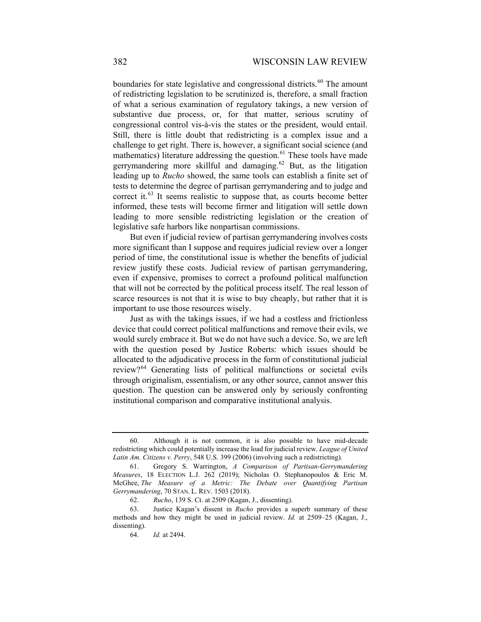boundaries for state legislative and congressional districts.<sup>[60](#page-19-0)</sup> The amount of redistricting legislation to be scrutinized is, therefore, a small fraction of what a serious examination of regulatory takings, a new version of substantive due process, or, for that matter, serious scrutiny of congressional control vis-à-vis the states or the president, would entail. Still, there is little doubt that redistricting is a complex issue and a challenge to get right. There is, however, a significant social science (and mathematics) literature addressing the question.<sup>[61](#page-19-1)</sup> These tools have made gerrymandering more skillful and damaging.<sup>[62](#page-19-2)</sup> But, as the litigation leading up to *Rucho* showed, the same tools can establish a finite set of tests to determine the degree of partisan gerrymandering and to judge and correct it. $63$  It seems realistic to suppose that, as courts become better informed, these tests will become firmer and litigation will settle down leading to more sensible redistricting legislation or the creation of legislative safe harbors like nonpartisan commissions.

But even if judicial review of partisan gerrymandering involves costs more significant than I suppose and requires judicial review over a longer period of time, the constitutional issue is whether the benefits of judicial review justify these costs. Judicial review of partisan gerrymandering, even if expensive, promises to correct a profound political malfunction that will not be corrected by the political process itself. The real lesson of scarce resources is not that it is wise to buy cheaply, but rather that it is important to use those resources wisely.

Just as with the takings issues, if we had a costless and frictionless device that could correct political malfunctions and remove their evils, we would surely embrace it. But we do not have such a device. So, we are left with the question posed by Justice Roberts: which issues should be allocated to the adjudicative process in the form of constitutional judicial review?<sup>[64](#page-19-4)</sup> Generating lists of political malfunctions or societal evils through originalism, essentialism, or any other source, cannot answer this question. The question can be answered only by seriously confronting institutional comparison and comparative institutional analysis.

<span id="page-19-0"></span><sup>60.</sup> Although it is not common, it is also possible to have mid-decade redistricting which could potentially increase the load for judicial review. *League of United Latin Am. Citizens v. Perry*, 548 U.S. 399 (2006) (involving such a redistricting).

<span id="page-19-1"></span><sup>61.</sup> Gregory S. Warrington, *A Comparison of Partisan-Gerrymandering Measures*, 18 ELECTION L.J. 262 (2019); Nicholas O. Stephanopoulos & Eric M. McGhee, *The Measure of a Metric: The Debate over Quantifying Partisan Gerrymandering*, 70 STAN. L. REV. 1503 (2018).

<sup>62.</sup> *Rucho*, 139 S. Ct. at 2509 (Kagan, J., dissenting).

<span id="page-19-4"></span><span id="page-19-3"></span><span id="page-19-2"></span><sup>63.</sup> Justice Kagan's dissent in *Rucho* provides a superb summary of these methods and how they might be used in judicial review. *Id.* at 2509–25 (Kagan, J., dissenting).

<sup>64.</sup> *Id.* at 2494.